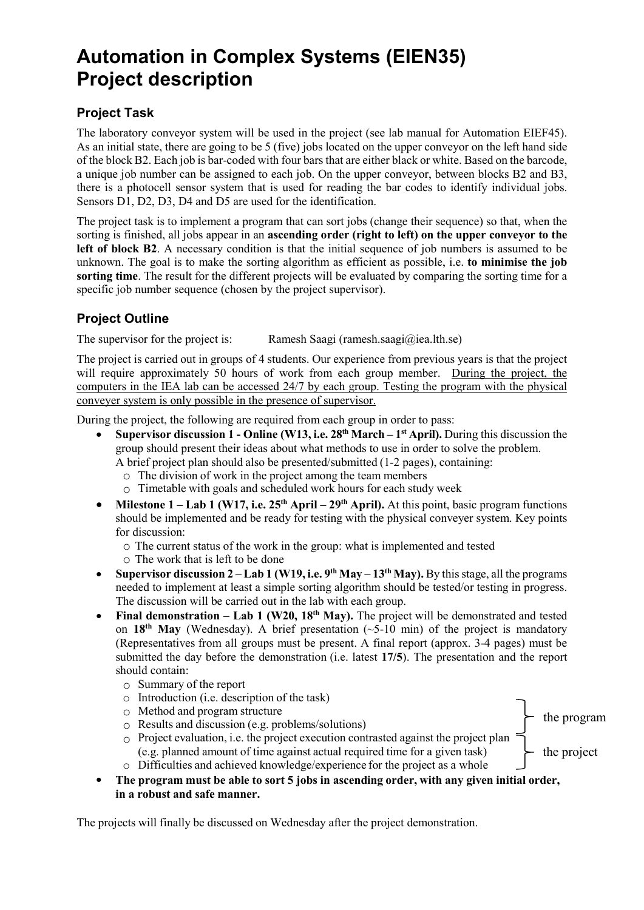## **Automation in Complex Systems (EIEN35) Project description**

## **Project Task**

The laboratory conveyor system will be used in the project (see lab manual for Automation EIEF45). As an initial state, there are going to be 5 (five) jobs located on the upper conveyor on the left hand side of the block B2. Each job is bar-coded with four bars that are either black or white. Based on the barcode, a unique job number can be assigned to each job. On the upper conveyor, between blocks B2 and B3, there is a photocell sensor system that is used for reading the bar codes to identify individual jobs. Sensors D1, D2, D3, D4 and D5 are used for the identification.

The project task is to implement a program that can sort jobs (change their sequence) so that, when the sorting is finished, all jobs appear in an **ascending order (right to left) on the upper conveyor to the left of block B2**. A necessary condition is that the initial sequence of job numbers is assumed to be unknown. The goal is to make the sorting algorithm as efficient as possible, i.e. **to minimise the job sorting time**. The result for the different projects will be evaluated by comparing the sorting time for a specific job number sequence (chosen by the project supervisor).

## **Project Outline**

The supervisor for the project is: Ramesh Saagi (ramesh.saagi $\omega$ iea.lth.se)

The project is carried out in groups of 4 students. Our experience from previous years is that the project will require approximately 50 hours of work from each group member. During the project, the computers in the IEA lab can be accessed 24/7 by each group. Testing the program with the physical conveyer system is only possible in the presence of supervisor.

During the project, the following are required from each group in order to pass:

• **Supervisor discussion 1 - Online (W13, i.e. 28th March – 1st April).** During this discussion the group should present their ideas about what methods to use in order to solve the problem.

A brief project plan should also be presented/submitted (1-2 pages), containing:

- o The division of work in the project among the team members
- o Timetable with goals and scheduled work hours for each study week
- **Milestone 1 Lab 1 (W17, i.e. 25<sup>th</sup> April 29<sup>th</sup> <b>April).** At this point, basic program functions should be implemented and be ready for testing with the physical conveyer system. Key points for discussion:
	- o The current status of the work in the group: what is implemented and tested
	- o The work that is left to be done
- **Supervisor discussion 2 – Lab 1 (W19, i.e. 9th May – 13th May).** By this stage, all the programs needed to implement at least a simple sorting algorithm should be tested/or testing in progress. The discussion will be carried out in the lab with each group.
- **Final demonstration Lab 1 (W20, 18<sup>th</sup> May).** The project will be demonstrated and tested on **18th May** (Wednesday). A brief presentation (~5-10 min) of the project is mandatory (Representatives from all groups must be present. A final report (approx. 3-4 pages) must be submitted the day before the demonstration (i.e. latest **17/5**). The presentation and the report should contain:
	- o Summary of the report
	- o Introduction (i.e. description of the task)
	- o Method and program structure
	- $\circ$  Results and discussion (e.g. problems/solutions)
	- $\circ$  Project evaluation, i.e. the project execution contrasted against the project plan (e.g. planned amount of time against actual required time for a given task) - the project

the program

- o Difficulties and achieved knowledge/experience for the project as a whole
- **The program must be able to sort 5 jobs in ascending order, with any given initial order, in a robust and safe manner.**

The projects will finally be discussed on Wednesday after the project demonstration.